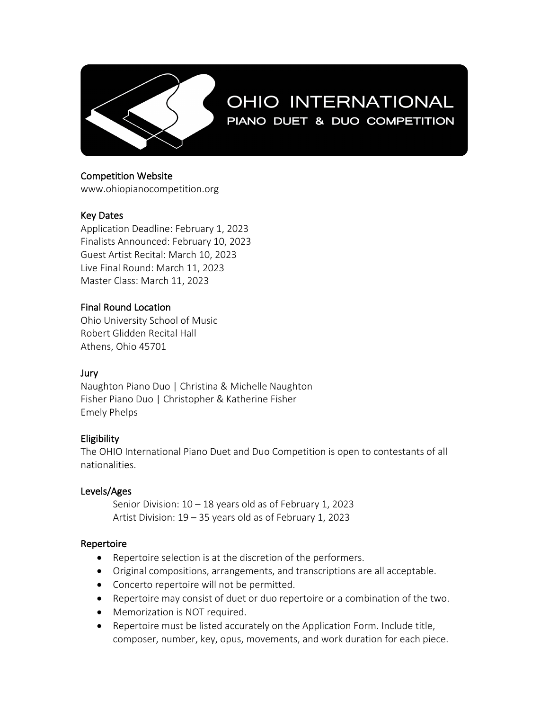

# OHIO INTERNATIONAL PIANO DUET & DUO COMPETITION

Competition Website

www.ohiopianocompetition.org

## Key Dates

Application Deadline: February 1, 2023 Finalists Announced: February 10, 2023 Guest Artist Recital: March 10, 2023 Live Final Round: March 11, 2023 Master Class: March 11, 2023

## Final Round Location

Ohio University School of Music Robert Glidden Recital Hall Athens, Ohio 45701

#### Jury

Naughton Piano Duo | Christina & Michelle Naughton Fisher Piano Duo | Christopher & Katherine Fisher Emely Phelps

## **Eligibility**

The OHIO International Piano Duet and Duo Competition is open to contestants of all nationalities.

#### Levels/Ages

Senior Division: 10 – 18 years old as of February 1, 2023 Artist Division: 19 – 35 years old as of February 1, 2023

#### Repertoire

- Repertoire selection is at the discretion of the performers.
- Original compositions, arrangements, and transcriptions are all acceptable.
- Concerto repertoire will not be permitted.
- Repertoire may consist of duet or duo repertoire or a combination of the two.
- Memorization is NOT required.
- Repertoire must be listed accurately on the Application Form. Include title, composer, number, key, opus, movements, and work duration for each piece.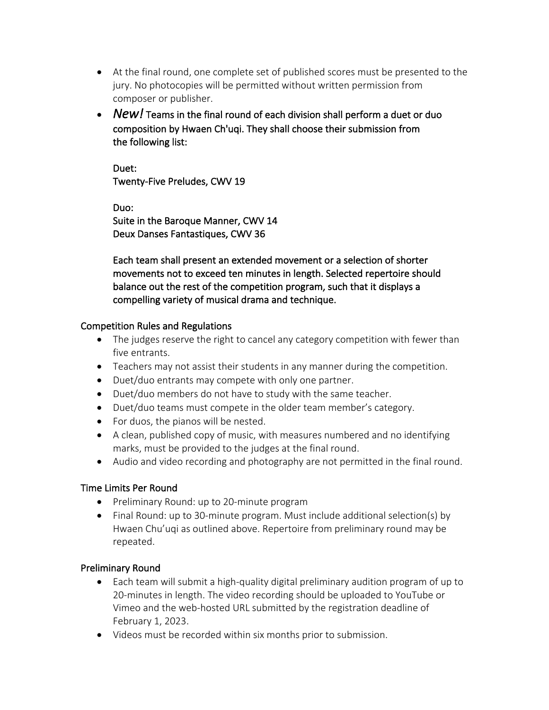- At the final round, one complete set of published scores must be presented to the jury. No photocopies will be permitted without written permission from composer or publisher.
- *New!* Teams in the final round of each division shall perform a duet or duo composition by Hwaen Ch'uqi. They shall choose their submission from the following list:

Duet: Twenty-Five Preludes, CWV 19

Duo: Suite in the Baroque Manner, CWV 14 Deux Danses Fantastiques, CWV 36

Each team shall present an extended movement or a selection of shorter movements not to exceed ten minutes in length. Selected repertoire should balance out the rest of the competition program, such that it displays a compelling variety of musical drama and technique.

## Competition Rules and Regulations

- The judges reserve the right to cancel any category competition with fewer than five entrants.
- Teachers may not assist their students in any manner during the competition.
- Duet/duo entrants may compete with only one partner.
- Duet/duo members do not have to study with the same teacher.
- Duet/duo teams must compete in the older team member's category.
- For duos, the pianos will be nested.
- A clean, published copy of music, with measures numbered and no identifying marks, must be provided to the judges at the final round.
- Audio and video recording and photography are not permitted in the final round.

## Time Limits Per Round

- Preliminary Round: up to 20-minute program
- Final Round: up to 30-minute program. Must include additional selection(s) by Hwaen Chu'uqi as outlined above. Repertoire from preliminary round may be repeated.

## Preliminary Round

- Each team will submit a high-quality digital preliminary audition program of up to 20-minutes in length. The video recording should be uploaded to YouTube or Vimeo and the web-hosted URL submitted by the registration deadline of February 1, 2023.
- Videos must be recorded within six months prior to submission.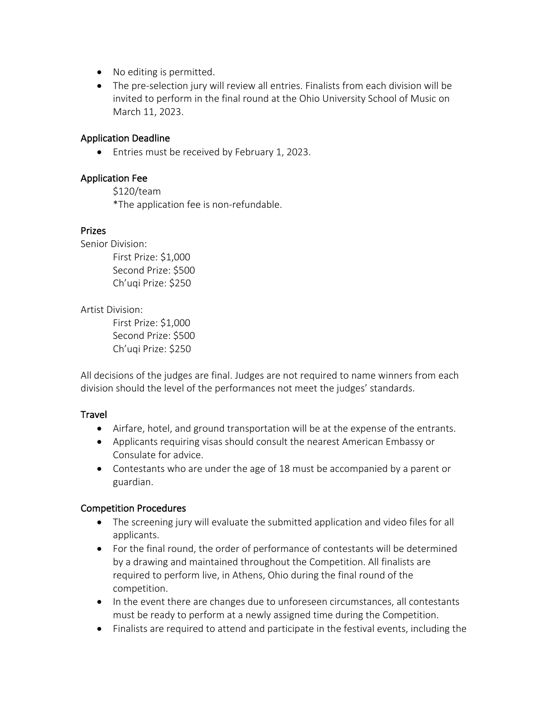- No editing is permitted.
- The pre-selection jury will review all entries. Finalists from each division will be invited to perform in the final round at the Ohio University School of Music on March 11, 2023.

#### Application Deadline

• Entries must be received by February 1, 2023.

#### Application Fee

\$120/team \*The application fee is non-refundable.

#### Prizes

Senior Division: First Prize: \$1,000 Second Prize: \$500 Ch'uqi Prize: \$250

Artist Division:

First Prize: \$1,000 Second Prize: \$500 Ch'uqi Prize: \$250

All decisions of the judges are final. Judges are not required to name winners from each division should the level of the performances not meet the judges' standards.

#### **Travel**

- Airfare, hotel, and ground transportation will be at the expense of the entrants.
- Applicants requiring visas should consult the nearest American Embassy or Consulate for advice.
- Contestants who are under the age of 18 must be accompanied by a parent or guardian.

## Competition Procedures

- The screening jury will evaluate the submitted application and video files for all applicants.
- For the final round, the order of performance of contestants will be determined by a drawing and maintained throughout the Competition. All finalists are required to perform live, in Athens, Ohio during the final round of the competition.
- In the event there are changes due to unforeseen circumstances, all contestants must be ready to perform at a newly assigned time during the Competition.
- Finalists are required to attend and participate in the festival events, including the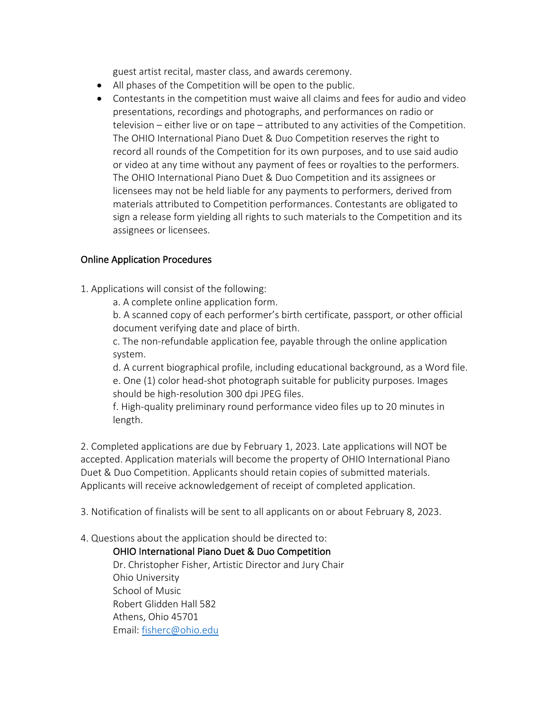guest artist recital, master class, and awards ceremony.

- All phases of the Competition will be open to the public.
- Contestants in the competition must waive all claims and fees for audio and video presentations, recordings and photographs, and performances on radio or television – either live or on tape – attributed to any activities of the Competition. The OHIO International Piano Duet & Duo Competition reserves the right to record all rounds of the Competition for its own purposes, and to use said audio or video at any time without any payment of fees or royalties to the performers. The OHIO International Piano Duet & Duo Competition and its assignees or licensees may not be held liable for any payments to performers, derived from materials attributed to Competition performances. Contestants are obligated to sign a release form yielding all rights to such materials to the Competition and its assignees or licensees.

## Online Application Procedures

1. Applications will consist of the following:

a. A complete online application form.

b. A scanned copy of each performer's birth certificate, passport, or other official document verifying date and place of birth.

c. The non-refundable application fee, payable through the online application system.

d. A current biographical profile, including educational background, as a Word file. e. One (1) color head-shot photograph suitable for publicity purposes. Images should be high-resolution 300 dpi JPEG files.

f. High-quality preliminary round performance video files up to 20 minutes in length.

2. Completed applications are due by February 1, 2023. Late applications will NOT be accepted. Application materials will become the property of OHIO International Piano Duet & Duo Competition. Applicants should retain copies of submitted materials. Applicants will receive acknowledgement of receipt of completed application.

3. Notification of finalists will be sent to all applicants on or about February 8, 2023.

#### 4. Questions about the application should be directed to:

OHIO International Piano Duet & Duo Competition Dr. Christopher Fisher, Artistic Director and Jury Chair Ohio University School of Music Robert Glidden Hall 582 Athens, Ohio 45701 Email: fisherc@ohio.edu